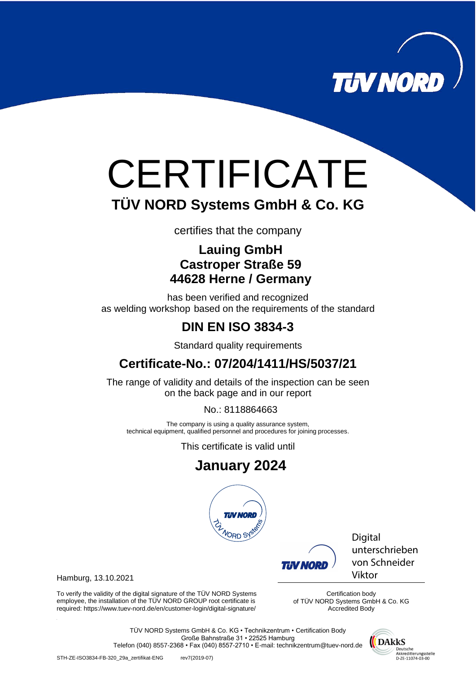

# **CERTIFICATE TÜV NORD Systems GmbH & Co. KG**

certifies that the company

### **Lauing GmbH Castroper Straße 59 44628 Herne / Germany**

has been verified and recognized as welding workshop based on the requirements of the standard

# **DIN EN ISO 3834-3**

Standard quality requirements

# **Certificate-No.: 07/204/1411/HS/5037/21**

The range of validity and details of the inspection can be seen on the back page and in our report

No.: 8118864663

The company is using a quality assurance system, technical equipment, qualified personnel and procedures for joining processes.

This certificate is valid until

# **January 2024**



Digital unterschrieben von Schneider Viktor

Hamburg, 13.10.2021

To verify the validity of the digital signature of the TÜV NORD Systems employee, the installation of the TÜV NORD GROUP root certificate is required: https://www.tuev-nord.de/en/customer-login/digital-signature/

Certification body of TÜV NORD Systems GmbH & Co. KG Accredited Body

IN NOI

TÜV NORD Systems GmbH & Co. KG • Technikzentrum • Certification Body Große Bahnstraße 31 • 22525 Hamburg Telefon (040) 8557-2368 • Fax (040) 8557-2710 • E-mail: technikzentrum@tuev-nord.de



STH-ZE-ISO3834-FB-320\_29a\_zertifikat-ENG rev7(2019-07)